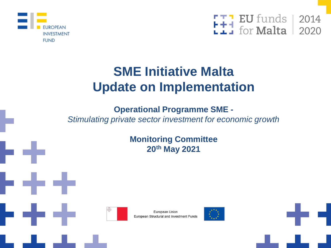



# **SME Initiative Malta Update on Implementation**

## **Operational Programme SME -**

*Stimulating private sector investment for economic growth*

**Monitoring Committee 20th May 2021**





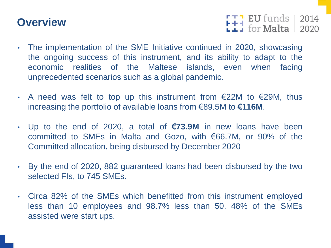# **Overview**

 $F + 1$  EU funds 2014

- The implementation of the SME Initiative continued in 2020, showcasing the ongoing success of this instrument, and its ability to adapt to the economic realities of the Maltese islands, even when facing unprecedented scenarios such as a global pandemic.
- A need was felt to top up this instrument from  $E22M$  to  $E29M$ , thus increasing the portfolio of available loans from €89.5M to **€116M**.
- Up to the end of 2020, a total of **€73.9M** in new loans have been committed to SMEs in Malta and Gozo, with €66.7M, or 90% of the Committed allocation, being disbursed by December 2020
- By the end of 2020, 882 guaranteed loans had been disbursed by the two selected FIs, to 745 SMEs.
- Circa 82% of the SMEs which benefitted from this instrument employed less than 10 employees and 98.7% less than 50. 48% of the SMEs assisted were start ups.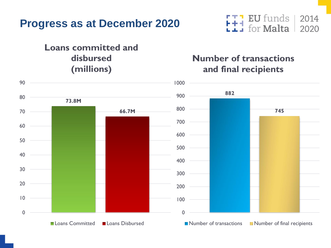# **Progress as at December 2020**

## **Loans committed and disbursed (millions)**

#### **EU** funds Ħ for **Malta**

## **Number of transactions and final recipients**

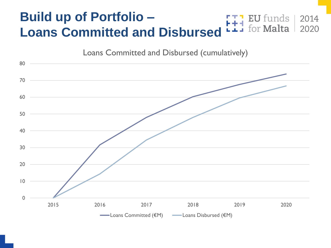#### **Build up of Portfolio – EU** funds for **Malta Loans Committed and Disbursed**



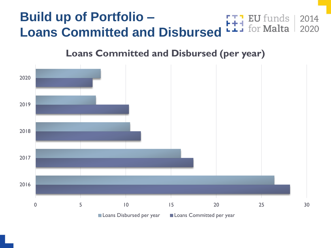#### **Build up of Portfolio – EU** funds 2014 for **Malta** 2020 **Loans Committed and Disbursed**

## **Loans Committed and Disbursed (per year)**

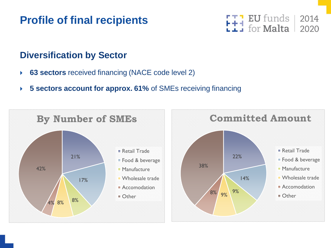# **Profile of final recipients**



## **Diversification by Sector**

- **63 sectors** received financing (NACE code level 2)
- **5 sectors account for approx. 61%** of SMEs receiving financing

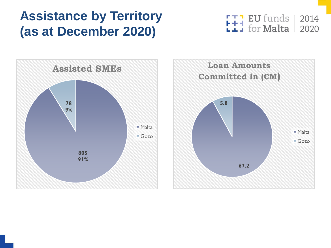# **Assistance by Territory (as at December 2020)**

**EU** funds | 2014 FTT EU funds<br>L+1 for Malta 2020



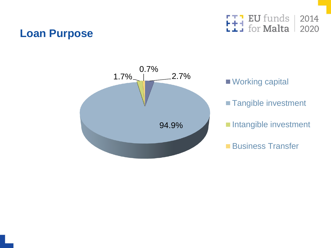## **Loan Purpose**

EU funds 2014 for **Malta** 2020



■ Working capital **Tangible investment** Intangible investment

**Business Transfer**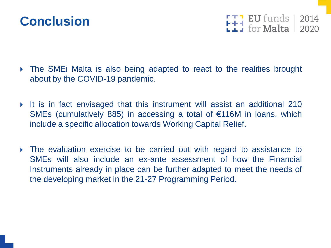

 $F + 1$  EU funds 2014

- The SMEi Malta is also being adapted to react to the realities brought about by the COVID-19 pandemic.
- It is in fact envisaged that this instrument will assist an additional 210 SMEs (cumulatively 885) in accessing a total of €116M in loans, which include a specific allocation towards Working Capital Relief.
- The evaluation exercise to be carried out with regard to assistance to SMEs will also include an ex-ante assessment of how the Financial Instruments already in place can be further adapted to meet the needs of the developing market in the 21-27 Programming Period.